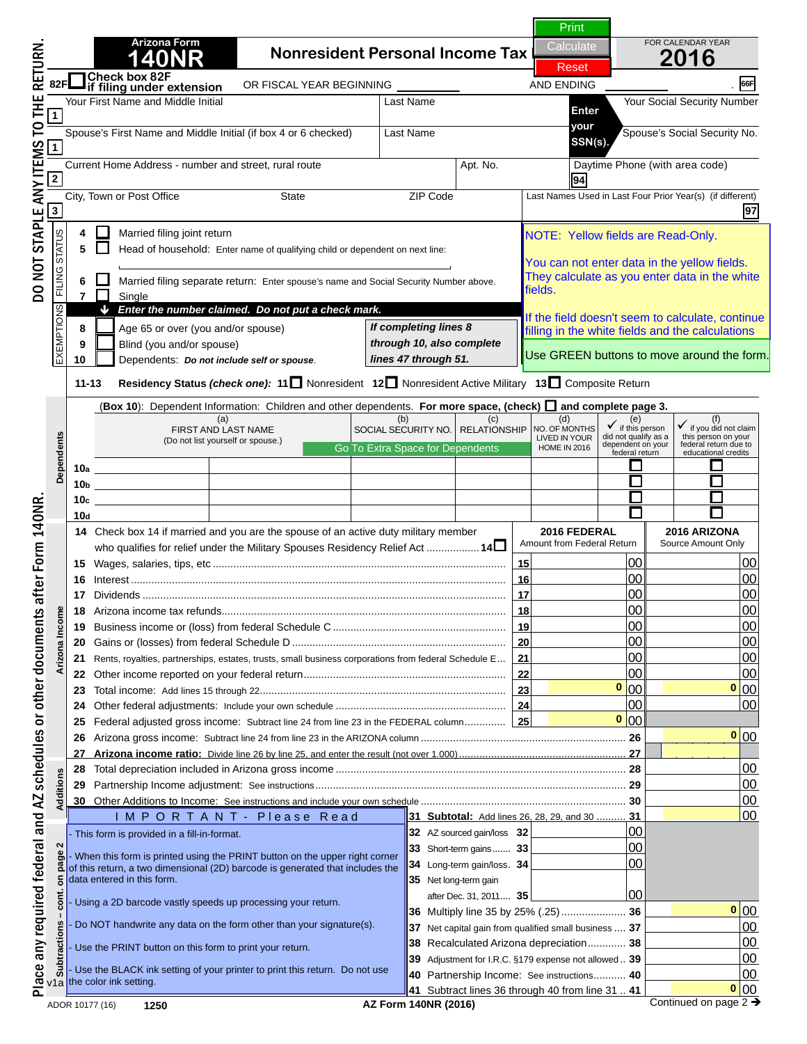# **1400 N O T I C E**

 $\blacksquare$  Initial die Victoring unitial Incredigt, Current Home Address - number and street, rural route Apt. No. Daytime Phone (with area code) **2 94 this is NOT a complete return. your SSN(s). If you are viewing this message,** 

**4** To **58** Head of hourse of the completed the **To print a completed return:**  $\blacksquare$ 

All required fields must be filled in. **9** Blind (you and/or spouse) All required field<br>Required Fields are i) **11-13 Residency Status** *(check one):* **<sup>11</sup>** Nonresident **12** Nonresident Active Military **13** Composite Return **around the data field).** *through 10, also complete lines 47 through 51.* (Required Fields are indicated by a "Red Box"

lick on the Green PRINT Button located at the 11<del>0</del>bb 011 1110 | 0110011 11 1111 | 1111 | 1111 | 1111 | 1111 | 1110 | 1110 | 1121 | 1121 | 1221 | 1221 | 1221 | 1221 | 1221 | 1221 | 1221 | 1221 | 1221 | 1221 | 1221 | 1221 | 1221 | 1221 | 1221 | 1221 | 1221 | 1222 | 122 **10c 10d top of page 1. Dependents Click on the Green PRINT Button located at the** 

**15** Wages, salaries, tips, etc .................................................................................................... **15** 00 00 **IE: CIICKING THE PRINT DUTTON WIII DEITOIM TH NOTE: Clicking the PRINT button will perform the 18** Arizona income tax refunds................................................................................................. **18** 00 00 **19 Business inconstructions and 2019 20** Gains or (losses) from federal Schedule D ......................................................................... **20** 00 00 **211 Rents, estate the barcode. 211 22** Other income reported on your federal return..................................................................... **22** 00 00 Place any required federal and AZ schedules or other documents after Form 140NR. DO NOT STAPLE ANY ITEMS TO THE RETURN.

**25** Federal adjusted gross income: Subtract line 24 from line 23 in the FEDERAL column.............. **25** 00 **DENTICE**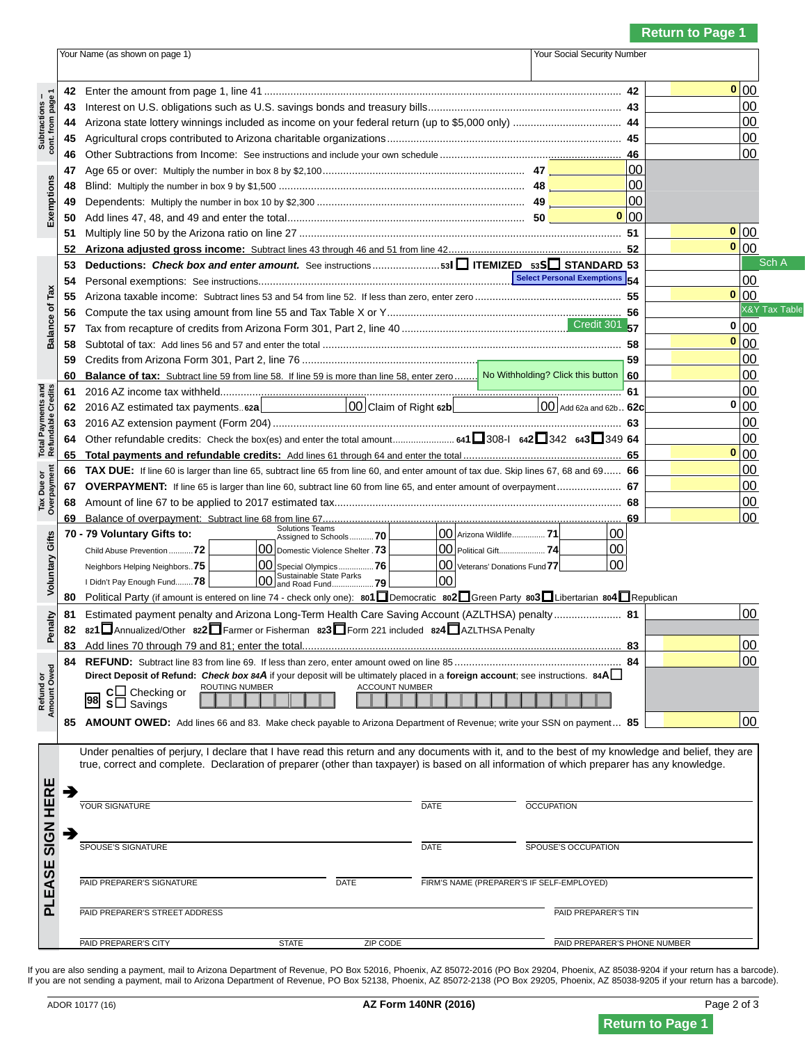## **NOTICE**

**43** Interest on U.S. obligations such as U.S. savings bonds and treasury bills.................................................................. **43** 00 **44** Arizona state lottery winnings included as income on your federal return (up to \$5,000 only) ..................................... **44** 00 If you are viewing this message,  $\mathbf{A}$  Phis is NOT a semplote return **this is NOT a complete return.** 

**50** Add lines 47, 48, and 49 and enter the total................................................................................. **50** 00 **51** Multiply 10 by the Arizona ratio on  $\mathbf{F} \boldsymbol{\alpha}$ **To print a completed return: To print a completed return:** 

**55** Arizona taxable income: Subtract lines 53 and 54 from line 52. If less than zero, enter zero .................................................. **55** 00 **56** Compute the tax using amount from line 55 and Tax Table X or Y................................................................................ **56** 00 All required fields must be filled in. **Examined Eiglds are indicated by a "Ded Rev" 59** Credits from Arizona Form 301, Part 2, line 76 ............................................................................................................. **59** 00 **Experience of the substantial Substantial Straight Straight Straight Straight Straight Straight Straight Straight Straight Straight Straight Straight Straight Straight Straight Straight Straight Straight Straight Straight 61** 2016 AL income the come tax with the complex state of  $\boldsymbol{\mathcal{A}}$ **62** 2016 AZ estimated tax payments.. **62a** 00 Claim of Right **62b** 00 Add 62a and 62b.. **62c** 00 **0 (Required Fields are indicated by a "Red Box"**  around the data field).

**Total Payments and Refundable Credits Tax Due or Overpayment 65 Total payments and refundable credits:** Add lines 61 through 64 and enter the total ...................................................... **65** 00 **66 TAX DUE:** If line 60 is larger than line 65, subtract line 65 from line 60, and enter amount of tax due. Skip lines 67, 68 and 69...... **66** 00 **67 OVERPAYMENT:** If line 65 is larger than line 60, subtract line 60 from line 65, and enter amount of overpayment...................... **67** 00 **68** Amount of line 67 to be applied to 2017 estimated tax.................................................................................................. **68** 00 **of page 1. 69** Balance of overpayment: Subtract line 68 from line 67...................................................................................................... **69** 00 **0 Click on the Green PRINT Button located at the top** 

 **Amount Owed Voluntary Gifts** Neighbors Helping Neighbors..**75** 00 Special Olympics................**76** 00 Veterans' Donations Fund**77** 00 **NOTE: Clicking the PRINT button will perform the <sup>80</sup>** Political Party (if amount is entered on line 74 - check only one): **801**Democratic **<sup>802</sup>**Green Party **<sup>803</sup>**Libertarian **<sup>804</sup>**Republican **811 External Calculations and Arizona Long-Term Health Care Saving Account (AZLTHSA) penalty... <sup>82</sup> <sup>821</sup>**Annualized/Other **<sup>822</sup>**Farmer or Fisherman **<sup>823</sup>**Form 221 included **<sup>824</sup>**AZLTHSA Penalty  $\blacksquare$ **update the barcode. and** *update* **the barcode. 84 00 Direct Deposit of Refund:** *Check box 84A* if your deposit will be ultimately placed in a **foreign account**; see instructions. **84A**

**AMOUNT ON BELLING PAYABLE TO A RIZONA DEPARTMENT OF REVENUE; WE ARE SOLUTION BELLING PAYABLE TO ARIZON DEPARTMENT OF REVENUE; WE ARE SOLUTION BELLING PAYABLE TO A RIZON OF REVENUE; WE ARE SOLUTION BELLING PAYMENT OF REVEN** 



able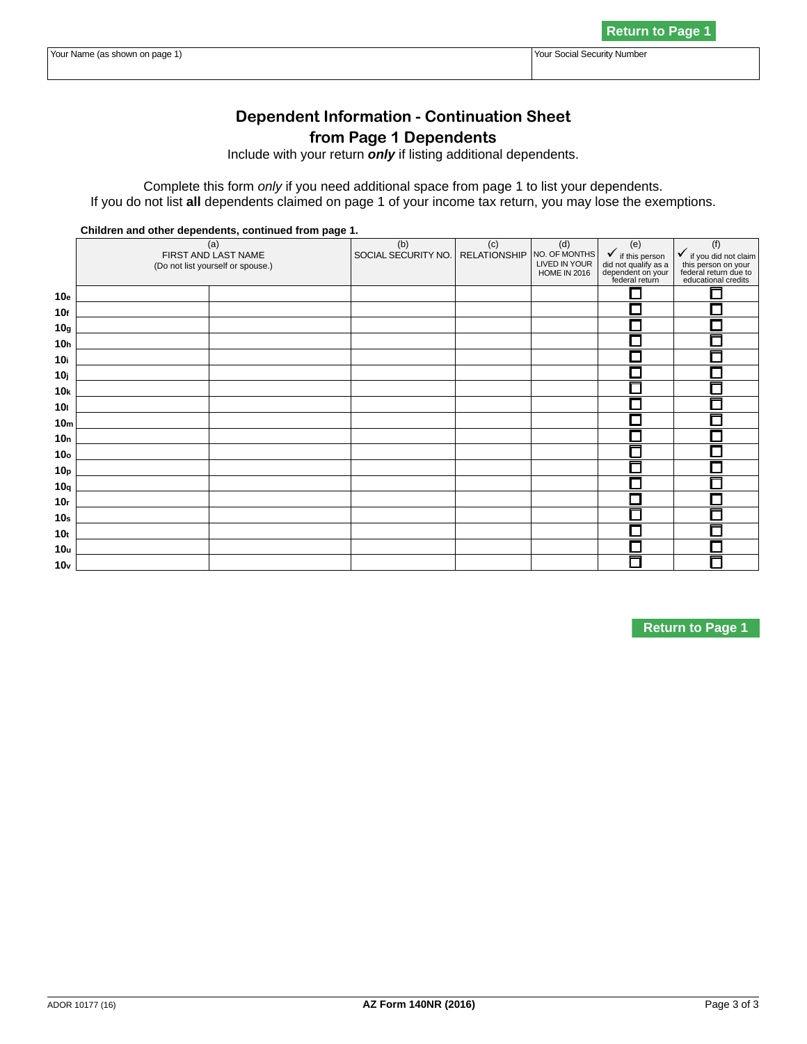# **NOTICE**

**Dependent Information - Continuation Sheet If you are viewing this message,** Include with your return *only* if listing additional dependents. this is NOT a complete return.

**Children and other dependents, continued from page 1.**   $\overline{a}$  $\blacksquare$  $\bigcap$ social pro  $\Gamma$  $\cdot$   $\cdot$   $\cdot$ **To print a completed return:** if this person

All roquired fields must be filled in **10g All required fields must be filled in. 10** contact **10** alternative to the starting of **10** alt**0** and <u>I Reduired Fields are indicated by a "Red Boy</u>" **10j (Required Fields are indicated by a "Red Box" 10kbarry 10kbarry 20kbarry 20kbarry 20kbarry 20kbarry 20kbarry 20kbarry 20kbarry 20kbarry 20kbarry 20kbarry 20 designal in the data field).** The around the data field).

**10o** Click on the Green PRINT Button located at **t Click on the Green PRINT Button located at the 10r**  $\leftarrow$  **10r**  $\leftarrow$  **10r**  $\leftarrow$  **10r**  $\leftarrow$  **10r**  $\leftarrow$  **10r**  $\leftarrow$  **10r**  $\leftarrow$  **10r**  $\leftarrow$  **10r**  $\leftarrow$  **10r**  $\leftarrow$  **10r**  $\leftarrow$  **10r**  $\leftarrow$  **10r**  $\leftarrow$  **10r**  $\leftarrow$  **10r**  $\leftarrow$  **10r**  $\leftarrow$  **10r**  $\leftarrow$  **10r**  $\leftarrow$  **10r 10s 10s 10s 10s 10s 10s 10s 10s 10s 10s 10s 10s 10s 10s 10s 10s 10s 10s 10s 10s 10s 10s 10s 10s 10s 10s 10s 10s 10s 10s 10s 10s 10s 10s 10s 10s 10s** 10th and 10th and 10th and 10th and 10th and 10th and 10th and 10th and 10th and 10th and 10th and 10th and 10th <br>10th and 10th and 10th and 10th and 10th and 10th and 10th and 10th and 10th and 10th and 10th and 10th and

**10v NOTE: Clicking the PRINT button will perform the calculations and update the barcode.** 

**N O T I C E**